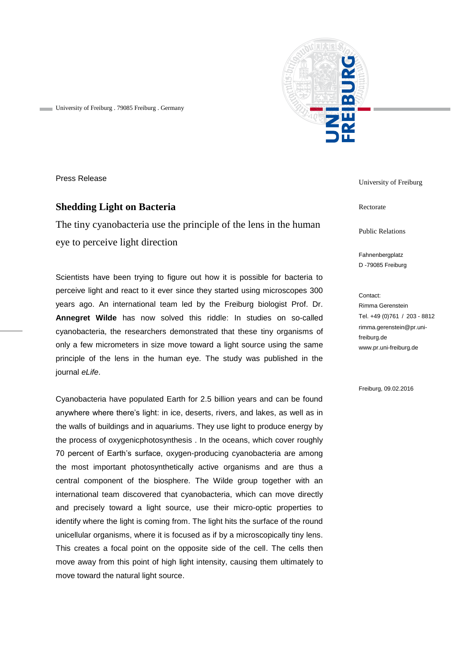

University of Freiburg . 79085 Freiburg . Germany

Press Release

## **Shedding Light on Bacteria**

The tiny cyanobacteria use the principle of the lens in the human eye to perceive light direction

Scientists have been trying to figure out how it is possible for bacteria to perceive light and react to it ever since they started using microscopes 300 years ago. An international team led by the Freiburg biologist Prof. Dr. **Annegret Wilde** has now solved this riddle: In studies on so-called cyanobacteria, the researchers demonstrated that these tiny organisms of only a few micrometers in size move toward a light source using the same principle of the lens in the human eye. The study was published in the journal *eLife*.

Cyanobacteria have populated Earth for 2.5 billion years and can be found anywhere where there's light: in ice, deserts, rivers, and lakes, as well as in the walls of buildings and in aquariums. They use light to produce energy by the process of oxygenicphotosynthesis . In the oceans, which cover roughly 70 percent of Earth's surface, oxygen-producing cyanobacteria are among the most important photosynthetically active organisms and are thus a central component of the biosphere. The Wilde group together with an international team discovered that cyanobacteria, which can move directly and precisely toward a light source, use their micro-optic properties to identify where the light is coming from. The light hits the surface of the round unicellular organisms, where it is focused as if by a microscopically tiny lens. This creates a focal point on the opposite side of the cell. The cells then move away from this point of high light intensity, causing them ultimately to move toward the natural light source.

University of Freiburg

Rectorate

Public Relations

Fahnenbergplatz D -79085 Freiburg

Contact: Rimma Gerenstein Tel. +49 (0)761 / 203 - 8812 rimma.gerenstein@pr.unifreiburg.de www.pr.uni-freiburg.de

Freiburg, 09.02.2016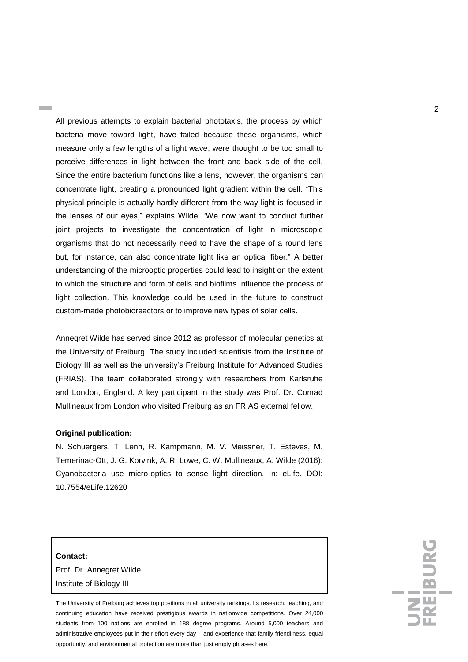All previous attempts to explain bacterial phototaxis, the process by which bacteria move toward light, have failed because these organisms, which measure only a few lengths of a light wave, were thought to be too small to perceive differences in light between the front and back side of the cell. Since the entire bacterium functions like a lens, however, the organisms can concentrate light, creating a pronounced light gradient within the cell. "This physical principle is actually hardly different from the way light is focused in the lenses of our eyes," explains Wilde. "We now want to conduct further joint projects to investigate the concentration of light in microscopic organisms that do not necessarily need to have the shape of a round lens but, for instance, can also concentrate light like an optical fiber." A better understanding of the microoptic properties could lead to insight on the extent to which the structure and form of cells and biofilms influence the process of light collection. This knowledge could be used in the future to construct custom-made photobioreactors or to improve new types of solar cells.

Annegret Wilde has served since 2012 as professor of molecular genetics at the University of Freiburg. The study included scientists from the Institute of Biology III as well as the university's Freiburg Institute for Advanced Studies (FRIAS). The team collaborated strongly with researchers from Karlsruhe and London, England. A key participant in the study was Prof. Dr. Conrad Mullineaux from London who visited Freiburg as an FRIAS external fellow.

## **Original publication:**

N. Schuergers, T. Lenn, R. Kampmann, M. V. Meissner, T. Esteves, M. Temerinac-Ott, J. G. Korvink, A. R. Lowe, C. W. Mullineaux, A. Wilde (2016): Cyanobacteria use micro-optics to sense light direction. In: eLife. DOI: 10.7554/eLife.12620

## **Contact:**

Prof. Dr. Annegret Wilde Institute of Biology III

The University of Freiburg achieves top positions in all university rankings. Its research, teaching, and continuing education have received prestigious awards in nationwide competitions. Over 24,000 students from 100 nations are enrolled in 188 degree programs. Around 5,000 teachers and administrative employees put in their effort every day – and experience that family friendliness, equal opportunity, and environmental protection are more than just empty phrases here.